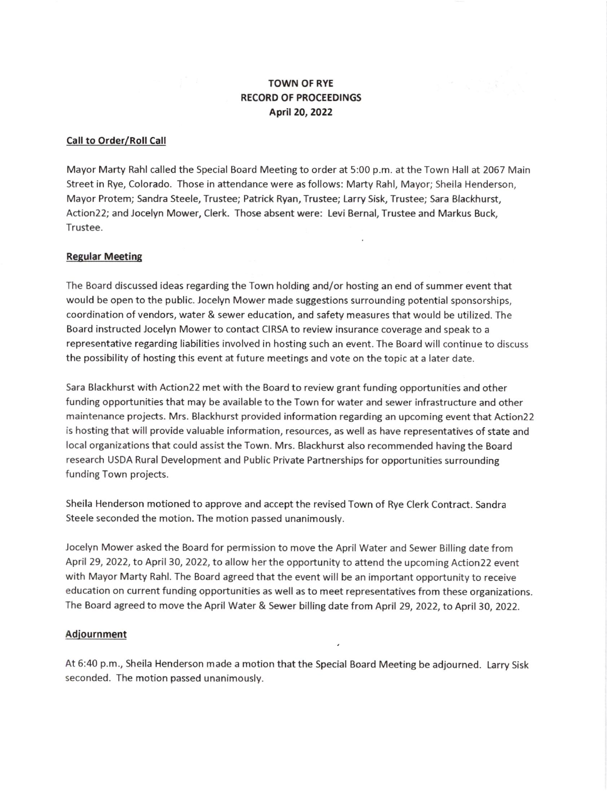# TOWN OF RYE RECORD OF PROCEEDINGS Aptil20, ZO22

### Call to Order/Roll Call

Mayor Marty Rahl called the Special Board Meeting to order at 5:00 p.m. at the Town Hall at 2067 Main Street in Rye, Colorado. Those in attendance were as follows: Marty Rahl, Mayor; Sheila Henderson, Mayor Protem; Sandra Steele, Trustee; Patrick Ryan, Trustee; Larry Sisk, Trustee; Sara Blackhurst, Action22; and Jocelyn Mower, Clerk. Those absent were: Levi Bernal, Trustee and Markus Buck, Trustee.

### Regular Meeting

The Board discussed ideas regarding the Town holding and/or hosting an end of summer event that would be open to the public. locelyn Mower made suggestions surrounding potential sponsorships, coordination ofvendors, water & sewer education, and safety measures that would be utilized. The Board instructed Jocelyn Mower to contact CIRSA to review insurance coverage and speak to <sup>a</sup> representative regarding liabilities involved in hosting such an event. The Board will continue to discuss the possibility of hosting this event at future meetings and vote on the topic at a later date.

Sara Blackhurst with Action22 met with the Board to review grant funding opportunities and other funding opportunities that may be available to the Town for water and sewer infrastructure and other maintenance projects. Mrs. Blackhurst provided information regarding an upcoming event that Action22 is hosting that will provide valuable information, resources, as well as have representatives of state and local organizations that could assist the Town. Mrs. Blackhurst also recommended having the Board research USDA Rural Development and Public Private Partnerships for opportunities surrounding funding Town projects.

Sheila Henderson motioned to approve and accept the revised Town of Rye Clerk Contract. Sandra Steele seconded the motion. The motion passed unanimously.

Jocelyn Mower asked the Board for permission to move the April Water and Sewer Billing date from April 29, 2022, to April 30, 2022, to allow her the opportunity to attend the upcoming Action 22 event with Mayor Marty Rahl. The Board agreed that the event will be an important opportunity to receive education on current funding opportunities as well as to meet representatives from these organizations The Board agreed to move the April Water & Sewer billing date from April 29, 2022, to April 30, 2022.

#### Adiournment

At 6:40 p.m., Sheila Henderson made a motion that the Special Board Meeting be adjourned. Larry Sisk seconded. The motion passed unanimously.